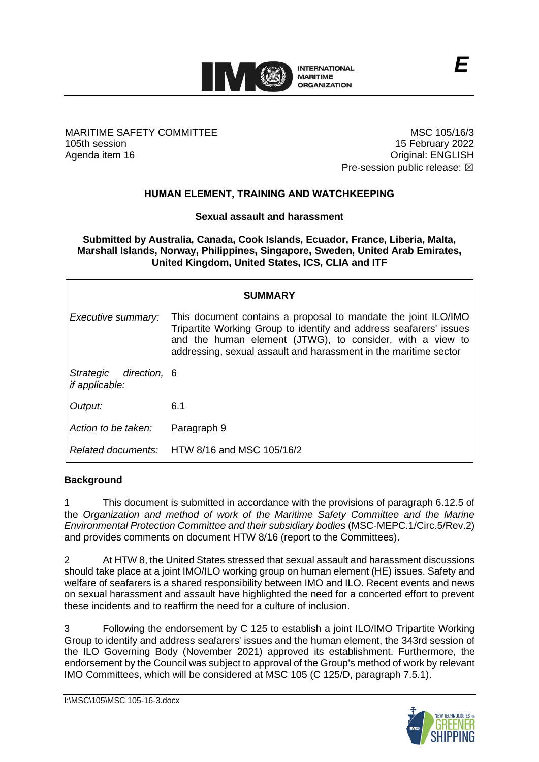

MARITIME SAFETY COMMITTEE 105th session Agenda item 16

MSC 105/16/3 15 February 2022 Original: ENGLISH Pre-session public release:  $\boxtimes$ 

# **HUMAN ELEMENT, TRAINING AND WATCHKEEPING**

### **Sexual assault and harassment**

**Submitted by Australia, Canada, Cook Islands, Ecuador, France, Liberia, Malta, Marshall Islands, Norway, Philippines, Singapore, Sweden, United Arab Emirates, United Kingdom, United States, ICS, CLIA and ITF**

| <b>SUMMARY</b>                                     |                                                                                                                                                                                                                                                                       |
|----------------------------------------------------|-----------------------------------------------------------------------------------------------------------------------------------------------------------------------------------------------------------------------------------------------------------------------|
| Executive summary:                                 | This document contains a proposal to mandate the joint ILO/IMO<br>Tripartite Working Group to identify and address seafarers' issues<br>and the human element (JTWG), to consider, with a view to<br>addressing, sexual assault and harassment in the maritime sector |
| Strategic<br>direction, 6<br><i>if applicable:</i> |                                                                                                                                                                                                                                                                       |
| Output:                                            | 6.1                                                                                                                                                                                                                                                                   |
| Action to be taken:                                | Paragraph 9                                                                                                                                                                                                                                                           |
|                                                    | Related documents: HTW 8/16 and MSC 105/16/2                                                                                                                                                                                                                          |

### **Background**

1 This document is submitted in accordance with the provisions of paragraph 6.12.5 of the *Organization and method of work of the Maritime Safety Committee and the Marine Environmental Protection Committee and their subsidiary bodies* (MSC-MEPC.1/Circ.5/Rev.2) and provides comments on document HTW 8/16 (report to the Committees).

2 At HTW 8, the United States stressed that sexual assault and harassment discussions should take place at a joint IMO/ILO working group on human element (HE) issues. Safety and welfare of seafarers is a shared responsibility between IMO and ILO. Recent events and news on sexual harassment and assault have highlighted the need for a concerted effort to prevent these incidents and to reaffirm the need for a culture of inclusion.

3 Following the endorsement by C 125 to establish a joint ILO/IMO Tripartite Working Group to identify and address seafarers' issues and the human element, the 343rd session of the ILO Governing Body (November 2021) approved its establishment. Furthermore, the endorsement by the Council was subject to approval of the Group's method of work by relevant IMO Committees, which will be considered at MSC 105 (C 125/D, paragraph 7.5.1).